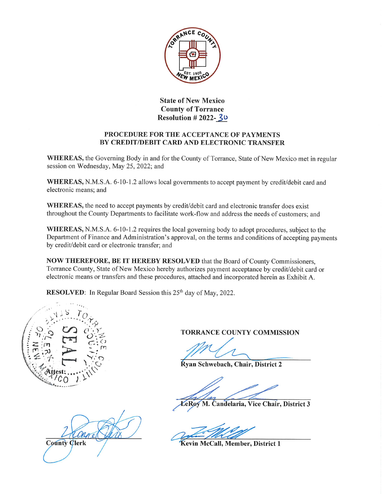

State of New Mexico County of Torrance Resolution  $#2022-30$ 

# PROCEDURE FOR THE ACCEPTANCE OF PAYMENTS BY CREDIT/DEBIT CARD AND ELECTRONIC TRANSFER

WHEREAS, the Governing Body in and for the County of Torrance, State of New Mexico met in regular session on Wednesday, May 25, 2022; and

WHEREAS, N.M.S.A. 6-10-1.2 allows local governments to accept payment by credit/debit card and electronic means; and

WHEREAS, the need to accept payments by credit/debit card and electronic transfer does exist throughout the County Departments to facilitate work-flow and address the needs of customers; and

WHEREAS, N.M.S.A. 6-10-1.2 requires the local governing body to adopt procedures, subject to the Department of Finance and Administration's approval, on the terms and conditions of accepting payments by credit/debit card or electronic transfer; and

NOW THEREFORE, BE IT HEREBY RESOLVED that the Board of County Commissioners, Torrance County, State of New Mexico hereby authorizes payment acceptance by credit/debit card or electronic means or transfers and these procedures, attached and incorporated herein as Exhibit A.

RESOLVED: In Regular Board Session this 25<sup>th</sup> day of May, 2022.



County **Clerk** 

TORRANCE COUNTY COMMISSION

Ryan Schwebach, Chair, District 2

eRoy M. Candelaria, Vice Chair, District 3

Kevin McCall, Member, District 1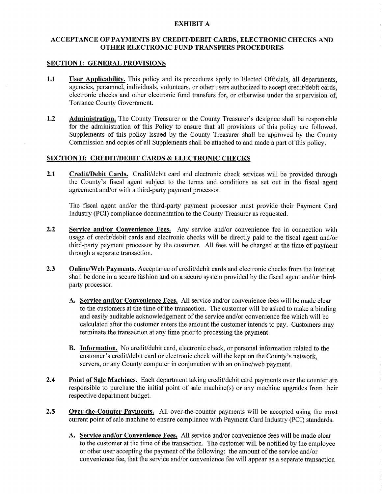### EXHIBIT A

## ACCEPT ANCE OF PAYMENTS BY CREDIT/DEBIT CARDS, ELECTRONIC CHECKS AND OTHER ELECTRONIC FUND TRANSFERS PROCEDURES

#### SECTION I: GENERAL PROVISIONS

- 1.1 User Applicability. This policy and its procedures apply to Elected Officials, all departments, agencies, personnel, individuals, volunteers, or other users authorized to accept credit/debit cards, electronic checks and other electronic fund transfers for, or otherwise under the supervision of, Torrance County Government.
- 1.2 Administration. The County Treasurer or the County Treasurer's designee shall be responsible for the administration of this Policy to ensure that all provisions of this policy are followed. Supplements of this policy issued by the County Treasurer shall be approved by the County Commission and copies of all Supplements shall be attached to and made a part of this policy.

## SECTION II: CREDIT/DEBIT CARDS & ELECTRONIC CHECKS

2.1 Credit/Debit Cards. Credit/debit card and electronic check services will be provided through the County's fiscal agent subject to the terms and conditions as set out in the fiscal agent agreement and/or with a third-party payment processor.

The fiscal agent and/or the third-party payment processor must provide their Payment Card Industry (PCI) compliance documentation to the County Treasurer as requested.

- 2.2 Service and/or Convenience Fees. Any service and/or convenience fee in connection with usage of credit/debit cards and electronic checks will be directly paid to the fiscal agent and/or third-party payment processor by the customer. All fees will be charged at the time of payment through a separate transaction.
- 2.3 **Online/Web Payments.** Acceptance of credit/debit cards and electronic checks from the Internet shall be done in a secure fashion and on a secure system provided by the fiscal agent and/or thirdparty processor.
	- A. Service and/or Convenience Fees. All service and/or convenience fees will be made clear to the customers at the time of the transaction. The customer will be asked to make a binding and easily auditable acknowledgement of the service and/or convenience fee which will be calculated after the customer enters the amount the customer intends to pay. Customers may terminate the transaction at any time prior to processing the payment.
	- **B.** Information. No credit/debit card, electronic check, or personal information related to the customer's credit/debit card or electronic clieck will the kept on the County's network, servers, or any County computer in conjunction with an online/web payment.
- 2.4 Point of Sale Machines. Each department taking credit/debit card payments over the counter are responsible to purchase the initial point of sale machine(s) or any machine upgrades from their respective department budget.
- 2.5 Over-the-Counter Payments. All over-the-counter payments will be accepted using the most current point of sale machine to ensure compliance with Payment Card Industry (PCI) standards.
	- A. Service and/or Convenience Fees. All service and/or convenience fees will be made clear to the customer at the time of the transaction. The customer will be notified by the employee or other user accepting the payment of the following: the amount of the service and/or convenience fee, that the service and/or convenience fee will appear as a separate transaction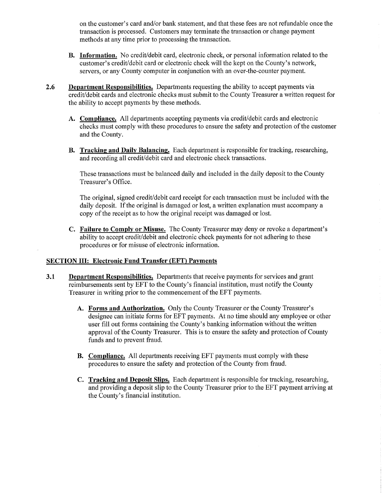on the customer's card and/or bank statement, and that these fees are not refundable once the transaction is processed. Customers may terminate the transaction or change payment methods at any time prior to processing the transaction.

- B. Information. No credit/debit card, electronic check, or personal information related to the customer's credit/debit card or electronic check will the kept on the County's network, servers, or any County computer in conjunction with an over-the-counter payment.
- 2.6 Department Responsibilities. Departments requesting the ability to accept payments via credit/debit cards and electronic checks must submit to the County Treasurer a written request for the ability to accept payments by these methods.
	- A. Compliance. All departments accepting payments via credit/debit cards and electronic checks must comply with these procedures to ensure the safety and protection of the customer and the County.
	- B. Tracking and Daily Balancing. Each department is responsible for tracking, researching, and recording all credit/debit card and electronic check transactions.

These transactions must be balanced daily and included in the daily deposit to the County Treasurer's Office.

The original, signed credit/debit card receipt for each transaction must be included with the daily deposit. If the original is damaged or lost, a written explanation must accompany a copy of the receipt as to how the original receipt was damaged or lost.

C. Failure to Comply or Misuse. The County Treasurer may deny or revoke a department's ability to accept credit/debit and electronic check payments for not adhering to these procedures or for misuse of electronic information.

## SECTION III: Electronic Fund Transfer (EFT) Payments

- 3.1 Department Responsibilities. Departments that receive payments for services and grant reimbursements sent by EFT to the County's financial institution, must notify the County Treasurer in writing prior to the commencement of the EFT payments.
	- A. Forms and Authorization. Only the County Treasurer or the County Treasurer's designee can initiate forms for EFT payments. At no time should any employee or other user fill out forms containing the County's banking information without the written approval of the County Treasurer. This is to ensure the safety and protection of County funds and to prevent fraud.
	- B. Compliance. All departments receiving EFT payments must comply with these procedures to ensure the safety and protection of the County from fraud.
	- C. Tracking and Deposit Slips. Each department is responsible for tracking, researching, and providing a deposit slip to the County Treasurer prior to the EFT payment arriving at the County's financial institution.